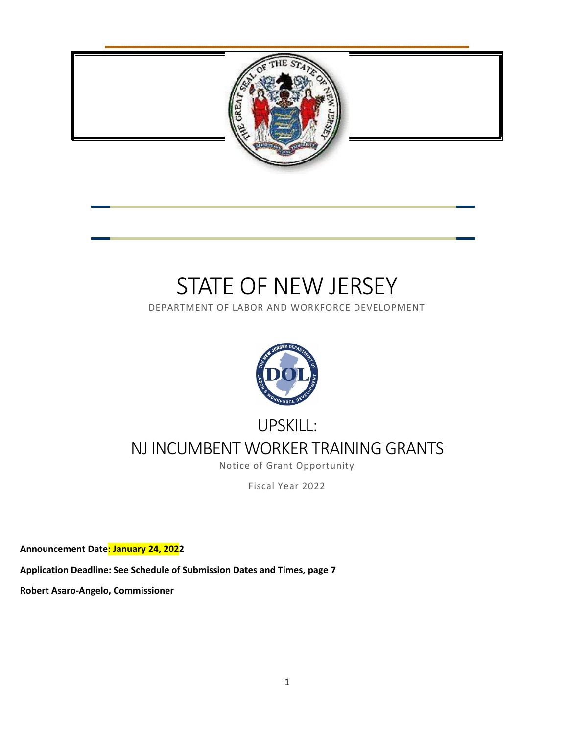

# STATE OF NEW JERSEY

DEPARTMENT OF LABOR AND WORKFORCE DEVELOPMENT



# UPSKILL: NJ INCUMBENT WORKER TRAINING GRANTS

Notice of Grant Opportunity

Fiscal Year 2022

**Announcement Date: January 24, 2022**

**Application Deadline: See Schedule of Submission Dates and Times, page 7**

**Robert Asaro-Angelo, Commissioner**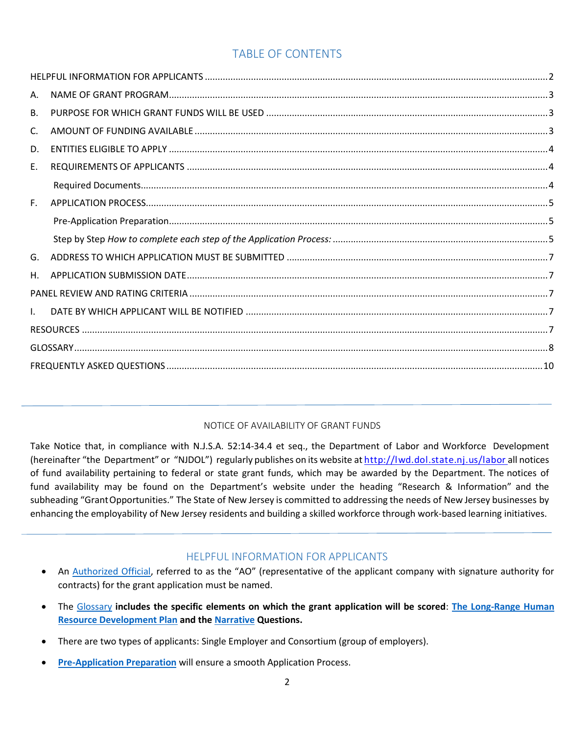# TABLE OF CONTENTS

# NOTICE OF AVAILABILITY OF GRANT FUNDS

Take Notice that, in compliance with N.J.S.A. 52:14-34.4 et seq., the Department of Labor and Workforce Development (hereinafter "the Department" or "NJDOL") regularly publishes on its website at <http://lwd.dol.state.nj.us/labor> all notices of fund availability pertaining to federal or state grant funds, which may be awarded by the Department. The notices of fund availability may be found on the Department's website under the heading "Research & Information" and the subheading "GrantOpportunities." The State of New Jersey is committed to addressing the needs of New Jersey businesses by enhancing the employability of New Jersey residents and building a skilled workforce through work-based learning initiatives.

# HELPFUL INFORMATION FOR APPLICANTS

- <span id="page-1-0"></span>• An [Authorized Official](#page-7-1), referred to as the "AO" (representative of the applicant company with signature authority for contracts) for the grant application must be named.
- The Glossary **includes the specific elements on which the grant application will be scored**: **[The Long-Range Human](#page-8-0)  [Resource Development Plan](#page-8-0) and the [Narrative](#page-8-1) Questions.**
- There are two types of applicants: Single Employer and Consortium (group of employers).
- **[Pre-Application Preparation](#page-4-1)** will ensure a smooth Application Process.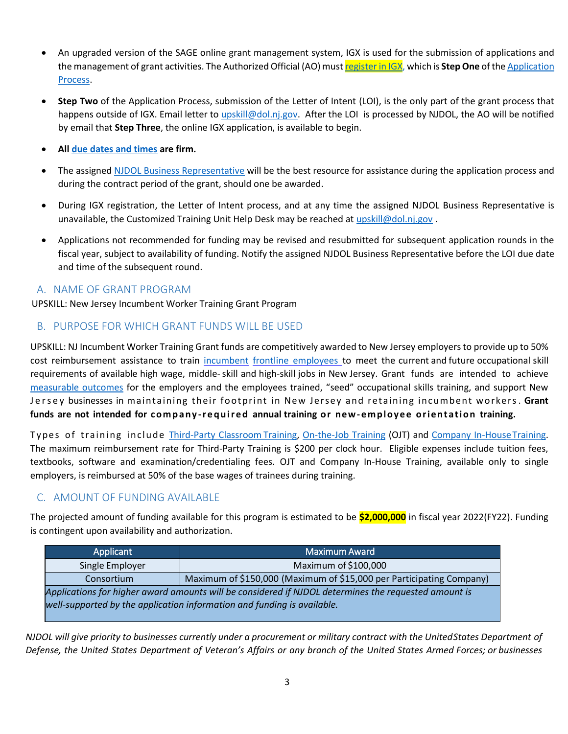- An upgraded version of the SAGE online grant management system, IGX is used for the submission of applications and the management of grant activities. The Authorized Official (AO) mus[t register](https://njdol.intelligrants.com/) in IGX, which is **Step One** of th[e Application](#page-4-2)  [Process.](#page-4-2)
- **Step Two** of the Application Process, submission of the Letter of Intent (LOI), is the only part of the grant process that happens outside of IGX. Email letter to [upskill@dol.nj.gov.](mailto:upskill@dol.nj.gov) After the LOI is processed by NJDOL, the AO will be notified by email that **Step Three**, the online IGX application, is available to begin.
- **All [due dates and times](#page-6-1) are firm.**
- The assigned [NJDOL Business Representative](#page-7-2) will be the best resource for assistance during the application process and during the contract period of the grant, should one be awarded.
- During IGX registration, the Letter of Intent process, and at any time the assigned NJDOL Business Representative is unavailable, the Customized Training Unit Help Desk may be reached at [upskill@dol.nj.gov](mailto:upskill@dol.nj.gov).
- Applications not recommended for funding may be revised and resubmitted for subsequent application rounds in the fiscal year, subject to availability of funding. Notify the assigned NJDOL Business Representative before the LOI due date and time of the subsequent round.

# <span id="page-2-0"></span>A. NAME OF GRANT PROGRAM

UPSKILL: New Jersey Incumbent Worker Training Grant Program

# <span id="page-2-1"></span>B. PURPOSE FOR WHICH GRANT FUNDS WILL BE USED

UPSKILL: NJ Incumbent Worker Training Grant funds are competitively awarded to New Jersey employers to provide up to 50% cost reimbursement assistance to train [incumbent](#page-7-3) frontline [employees](#page-7-4) to meet the current and future occupational skill requirements of available high wage, middle-skill and high-skill jobs in New Jersey. Grant funds are intended to achieve [measurable outcomes](#page-8-1) for the employers and the employees trained, "seed" occupational skills training, and support New Jersey businesses in maintaining their footprint in New Jersey and retaining incumbent workers. Grant **funds are not intended for c o m p a n y -r e q u i r e d annual training or new-empl oye e orie nt atio n training.**

Types of training include [Third-Party Classroom](#page-9-1) Training, [On-the-Job Training](#page-9-2) (OJT) and [Company In-HouseTraining.](#page-7-5) The maximum reimbursement rate for Third-Party Training is \$200 per clock hour. Eligible expenses include tuition fees, textbooks, software and examination/credentialing fees. OJT and Company In-House Training, available only to single employers, is reimbursed at 50% of the base wages of trainees during training.

# <span id="page-2-2"></span>C. AMOUNT OF FUNDING AVAILABLE

The projected amount of funding available for this program is estimated to be **\$2,000,000** in fiscal year 2022(FY22). Funding is contingent upon availability and authorization.

| Applicant                                                                                            | <b>Maximum Award</b>                                                 |  |  |  |  |  |  |  |  |
|------------------------------------------------------------------------------------------------------|----------------------------------------------------------------------|--|--|--|--|--|--|--|--|
| Single Employer                                                                                      | Maximum of \$100,000                                                 |  |  |  |  |  |  |  |  |
| Consortium                                                                                           | Maximum of \$150,000 (Maximum of \$15,000 per Participating Company) |  |  |  |  |  |  |  |  |
| Applications for higher award amounts will be considered if NJDOL determines the requested amount is |                                                                      |  |  |  |  |  |  |  |  |
| well-supported by the application information and funding is available.                              |                                                                      |  |  |  |  |  |  |  |  |
|                                                                                                      |                                                                      |  |  |  |  |  |  |  |  |

*NJDOL will give priority to businesses currently under a procurement or military contract with the UnitedStates Department of* Defense, the United States Department of Veteran's Affairs or any branch of the United States Armed Forces; or businesses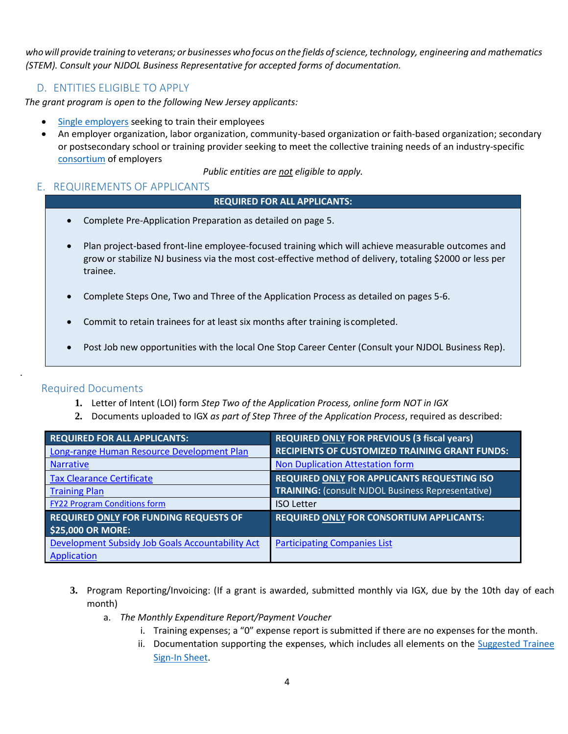who will provide training to veterans; or businesses who focus on the fields of science, technology, engineering and mathematics *(STEM). Consult your NJDOL Business Representative for accepted forms of documentation.*

# D. ENTITIES ELIGIBLE TO APPLY

<span id="page-3-0"></span>*The grant program is open to the following New Jersey applicants:*

- [Single employers](#page-9-3) seeking to train their employees
- An employer organization, labor organization, community-based organization or faith-based organization; secondary or postsecondary school or training provider seeking to meet the collective training needs of an industry-specific [consortium](#page-7-6) of employers

*Public entities are not eligible to apply.*

# <span id="page-3-1"></span>E. REQUIREMENTS OF APPLICANTS

#### **REQUIRED FOR ALL APPLICANTS:**

- Complete Pre-Application Preparation as detailed on page 5.
- Plan project-based front-line employee-focused training which will achieve measurable outcomes and grow or stabilize NJ business via the most cost-effective method of delivery, totaling \$2000 or less per trainee.
- Complete Steps One, Two and Three of the Application Process as detailed on pages 5-6.
- Commit to retain trainees for at least six months after training iscompleted.
- Post Job new opportunities with the local One Stop Career Center (Consult your NJDOL Business Rep).

# Required Documents

<span id="page-3-2"></span>.

- **1.** Letter of Intent (LOI) form *Step Two of the Application Process, online form NOT in IGX*
- **2.** Documents uploaded to IGX *as part of Step Three of the Application Process*, required as described:

| <b>REQUIRED FOR ALL APPLICANTS:</b>              | <b>REQUIRED ONLY FOR PREVIOUS (3 fiscal years)</b>       |
|--------------------------------------------------|----------------------------------------------------------|
| Long-range Human Resource Development Plan       | <b>RECIPIENTS OF CUSTOMIZED TRAINING GRANT FUNDS:</b>    |
| <b>Narrative</b>                                 | <b>Non Duplication Attestation form</b>                  |
| <b>Tax Clearance Certificate</b>                 | <b>REQUIRED ONLY FOR APPLICANTS REQUESTING ISO</b>       |
| <b>Training Plan</b>                             | <b>TRAINING: (consult NJDOL Business Representative)</b> |
| <b>FY22 Program Conditions form</b>              | <b>ISO Letter</b>                                        |
| <b>REQUIRED ONLY FOR FUNDING REQUESTS OF</b>     | <b>REQUIRED ONLY FOR CONSORTIUM APPLICANTS:</b>          |
| <b>\$25,000 OR MORE:</b>                         |                                                          |
| Development Subsidy Job Goals Accountability Act | <b>Participating Companies List</b>                      |
| Application                                      |                                                          |

- **3.** Program Reporting/Invoicing: (If a grant is awarded, submitted monthly via IGX, due by the 10th day of each month)
	- a. *The Monthly Expenditure Report/Payment Voucher* 
		- i. Training expenses; a "0" expense report is submitted if there are no expenses for the month.
		- ii. Documentation supporting the expenses, which includes all elements on the [Suggested Trainee](http://www.nj.gov/labor/wioa/documents/NGO/Workforce_Training/UPSKILLSuggestedSignnSheet.docx)  [Sign-In Sheet.](http://www.nj.gov/labor/wioa/documents/NGO/Workforce_Training/UPSKILLSuggestedSignnSheet.docx)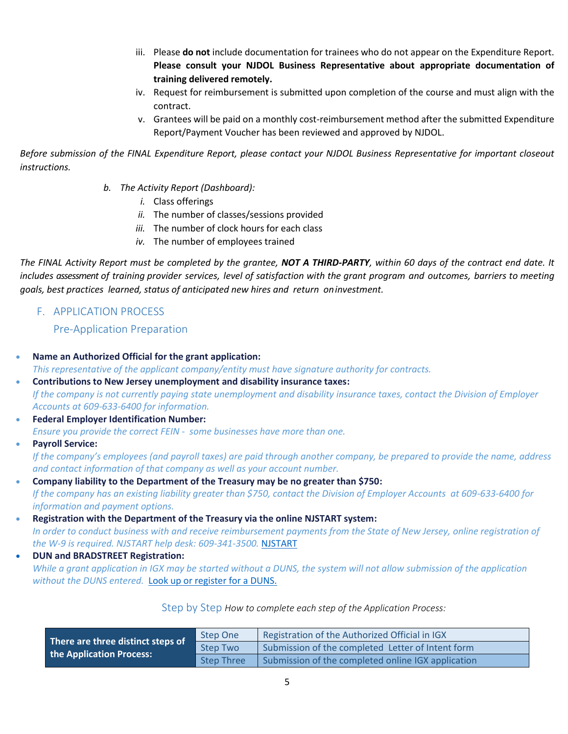- iii. Please **do not** include documentation for trainees who do not appear on the Expenditure Report. **Please consult your NJDOL Business Representative about appropriate documentation of training delivered remotely.**
- iv. Request for reimbursement is submitted upon completion of the course and must align with the contract.
- v. Grantees will be paid on a monthly cost-reimbursement method after the submitted Expenditure Report/Payment Voucher has been reviewed and approved by NJDOL.

*Before submission of the FINAL Expenditure Report, please contact your NJDOL Business Representative for important closeout instructions.*

- *b. The Activity Report (Dashboard):* 
	- *i.* Class offerings
	- *ii.* The number of classes/sessions provided
	- *iii.* The number of clock hours for each class
	- *iv.* The number of employees trained

*The FINAL Activity Report must be completed by the grantee, NOT A THIRD-PARTY, within 60 days of the contract end date. It includes assessment of training provider services, level of satisfaction with the grant program and outcomes, barriers to meeting goals, best practices learned, status of anticipated new hires and return oninvestment.*

<span id="page-4-1"></span><span id="page-4-0"></span>F. APPLICATION PROCESS

Pre-Application Preparation

- **Name an Authorized Official for the grant application:**  *This representative of the applicant company/entity must have signature authority for contracts.* • **Contributions to New Jersey unemployment and disability insurance taxes:** *If the company is not currently paying state unemployment and disability insurance taxes, contact the Division of Employer*
- *Accounts at 609-633-6400 for information.* • **Federal Employer Identification Number:** 
	- *Ensure you provide the correct FEIN some businesses have more than one.*
- **Payroll Service:**  *If the company's employees (and payroll taxes) are paid through another company, be prepared to provide the name, address and contact information of that company as well as your account number.*
- **Company liability to the Department of the Treasury may be no greater than \$750:** *If the company has an existing liability greater than \$750, contact the Division of Employer Accounts at 609-633-6400 for information and payment options.*
- **Registration with the Department of the Treasury via the online NJSTART system:** *In order to conduct business with and receive reimbursement payments from the State of New Jersey, [online registration of](https://www.njstart.gov/bso/)  [the W-9](https://www.njstart.gov/bso/) is required. NJSTART help desk: 609-341-3500.* [NJSTART](https://www.njstart.gov/bso/)
- **DUN and BRADSTREET Registration:** *While a grant application in IGX may be started without a DUNS, the system will not allow submission of the application without the DUNS entered.* [Look up or register for a DUNS.](https://www.dnb.com/duns-number.html)

Step by Step *How to complete each step of the Application Process:*

<span id="page-4-2"></span>

| There are three distinct steps of | Step One        | Registration of the Authorized Official in IGX     |
|-----------------------------------|-----------------|----------------------------------------------------|
| the Application Process:          | <b>Step Two</b> | Submission of the completed Letter of Intent form  |
|                                   | Step Three      | Submission of the completed online IGX application |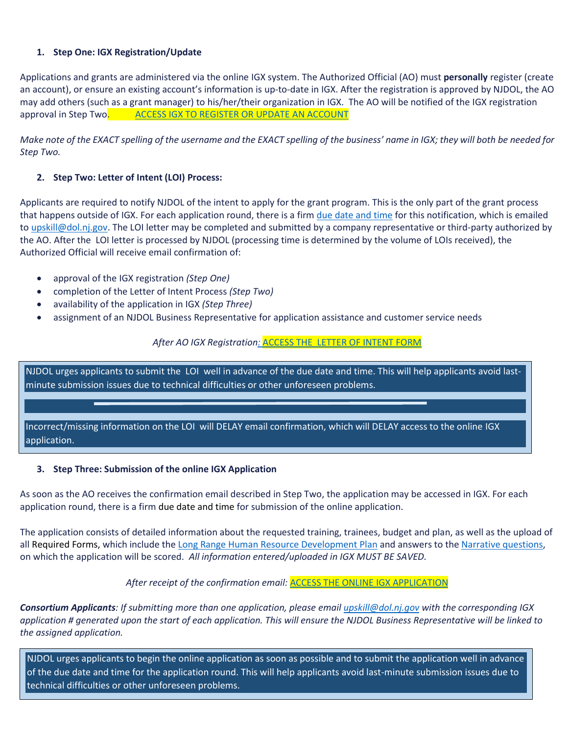#### **1. Step One: IGX Registration/Update**

Applications and grants are administered via the online IGX system. The Authorized Official (AO) must **personally** register (create an account), or ensure an existing account's information is up-to-date in IGX. After the registration is approved by NJDOL, the AO may add others (such as a grant manager) to his/her/their organization in IGX. The AO will be notified of the IGX registration approval in Step Two. ACCESS IGX [TO REGISTER OR UPDATE](https://njdol.intelligrants.com/) AN ACCOUNT

*Make note of the EXACT spelling of the username and the EXACT spelling of the business' name in IGX; they will both be needed for Step Two.*

#### **2. Step Two: Letter of Intent (LOI) Process:**

Applicants are required to notify NJDOL of the intent to apply for the grant program. This is the only part of the grant process that happens outside of IGX. For each application round, there is a firm due [date and time](#page-6-1) for this notification, which is emailed t[o upskill@dol.nj.gov.](mailto:upskill@dol.nj.gov) The LOI letter may be completed and submitted by a company representative or third-party authorized by the AO. After the LOI letter is processed by NJDOL (processing time is determined by the volume of LOIs received), the Authorized Official will receive email confirmation of:

- approval of the IGX registration *(Step One)*
- completion of the Letter of Intent Process *(Step Two)*
- availability of the application in IGX *(Step Three)*
- assignment of an NJDOL Business Representative for application assistance and customer service needs

#### *After AO IGX Registration:* ACCESS THE [LETTER OF INTENT FORM](http://www.nj.gov/labor/wioa/documents/NGO/Workforce_Training/FY22LetterofIntenttemplate.docx)

NJDOL urges applicants to submit the LOI well in advance of the due date and time. This will help applicants avoid lastminute submission issues due to technical difficulties or other unforeseen problems.

Incorrect/missing information on the LOI will DELAY email confirmation, which will DELAY access to the online IGX application.

#### **3. Step Three: Submission of the online IGX Application**

As soon as the AO receives the confirmation email described in Step Two, the application may be accessed in IGX. For each application round, there is a firm due date and time for submission of the online application.

The application consists of detailed information about the requested training, trainees, budget and plan, as well as the upload of all Required Forms, which include the [Long Range Human Resource Development Plan](#page-8-0) and answers to th[e Narrative questions,](#page-8-1) on which the application will be scored. *All information entered/uploaded in IGX MUST BE SAVED.*

#### After receipt of the confirmation email: **[ACCESS THE ONLINE IGX](https://njdol.intelligrants.com/) APPLICATION**

*Consortium Applicants: If submitting more than one application, please email [upskill@dol.nj.gov](mailto:upskill@dol.nj.gov) with the corresponding IGX application # generated upon the start of each application. This will ensure the NJDOL Business Representative will be linked to the assigned application.*

NJDOL urges applicants to begin the online application as soon as possible and to submit the application well in advance of the due date and time for the application round. This will help applicants avoid last-minute submission issues due to technical difficulties or other unforeseen problems.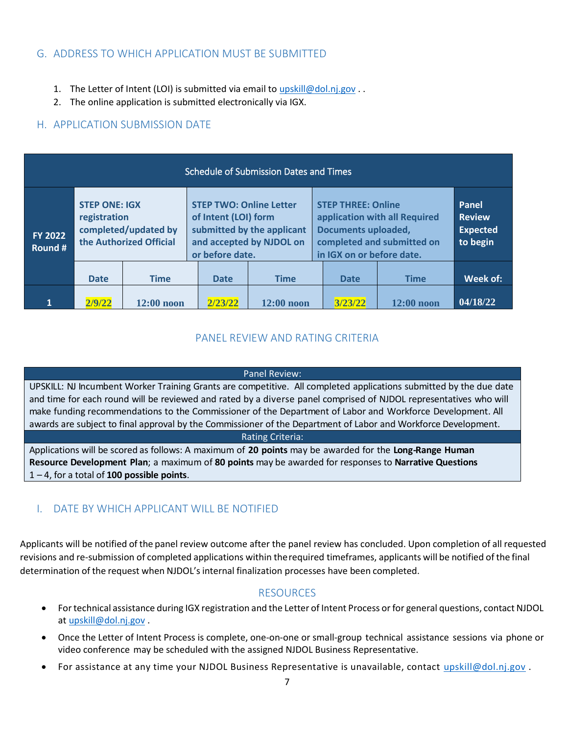# <span id="page-6-0"></span>G. ADDRESS TO WHICH APPLICATION MUST BE SUBMITTED

- 1. The Letter of Intent (LOI) is submitted via email to [upskill@dol.nj.gov](mailto:upskill@dol.nj.gov) . .
- 2. The online application is submitted electronically via IGX.

# <span id="page-6-1"></span>H. APPLICATION SUBMISSION DATE

| <b>Schedule of Submission Dates and Times</b> |                                                                                         |              |  |                                                                                                                                     |              |  |                                                                                                                                                     |                                                       |          |
|-----------------------------------------------|-----------------------------------------------------------------------------------------|--------------|--|-------------------------------------------------------------------------------------------------------------------------------------|--------------|--|-----------------------------------------------------------------------------------------------------------------------------------------------------|-------------------------------------------------------|----------|
| <b>FY 2022</b><br>Round #                     | <b>STEP ONE: IGX</b><br>registration<br>completed/updated by<br>the Authorized Official |              |  | <b>STEP TWO: Online Letter</b><br>of Intent (LOI) form<br>submitted by the applicant<br>and accepted by NJDOL on<br>or before date. |              |  | <b>STEP THREE: Online</b><br>application with all Required<br><b>Documents uploaded,</b><br>completed and submitted on<br>in IGX on or before date. | Panel<br><b>Review</b><br><b>Expected</b><br>to begin |          |
|                                               | <b>Date</b>                                                                             | <b>Time</b>  |  | <b>Date</b>                                                                                                                         | <b>Time</b>  |  | <b>Date</b>                                                                                                                                         | <b>Time</b>                                           | Week of: |
| 1                                             | 2/9/22                                                                                  | $12:00$ noon |  | 2/23/22                                                                                                                             | $12:00$ noon |  | 3/23/22                                                                                                                                             | $12:00$ noon                                          | 04/18/22 |

# PANEL REVIEW AND RATING CRITERIA

#### Panel Review:

<span id="page-6-2"></span>UPSKILL: NJ Incumbent Worker Training Grants are competitive. All completed applications submitted by the due date and time for each round will be reviewed and rated by a diverse panel comprised of NJDOL representatives who will make funding recommendations to the Commissioner of the Department of Labor and Workforce Development. All awards are subject to final approval by the Commissioner of the Department of Labor and Workforce Development.

#### Rating Criteria:

Applications will be scored as follows: A maximum of **20 points** may be awarded for the **Long-Range Human Resource Development Plan**; a maximum of **80 points** may be awarded for responses to **Narrative Questions** 1 – 4, for a total of **100 possible points**.

# <span id="page-6-3"></span>I. DATE BY WHICH APPLICANT WILL BE NOTIFIED

Applicants will be notified of the panel review outcome after the panel review has concluded. Upon completion of all requested revisions and re-submission of completed applications within therequired timeframes, applicants will be notified of the final determination of the request when NJDOL's internal finalization processes have been completed.

# RESOURCES

- <span id="page-6-4"></span>• For technical assistance during IGX registration and the Letter of Intent Process or for general questions, contact NJDOL at [upskill@dol.nj.gov](mailto:upskill@dol.nj.gov) .
- Once the Letter of Intent Process is complete, one-on-one or small-group technical assistance sessions via phone or video conference may be scheduled with the assigned NJDOL Business Representative.
- For assistance at any time your NJDOL Business Representative is unavailable, contact [upskill@dol.nj.gov](mailto:upskill@dol.nj.gov).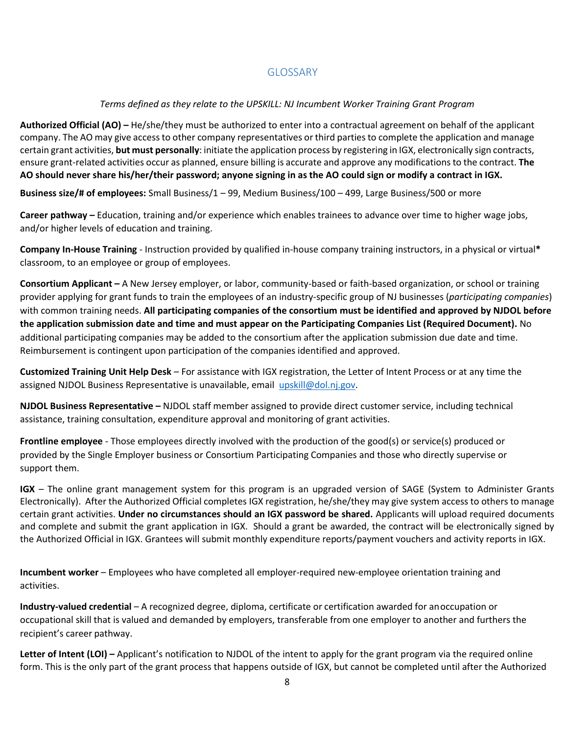# GLOSSARY

# <span id="page-7-1"></span>*Terms defined as they relate to the UPSKILL: NJ Incumbent Worker Training Grant Program*

<span id="page-7-0"></span>**Authorized Official (AO) –** He/she/they must be authorized to enter into a contractual agreement on behalf of the applicant company. The AO may give access to other company representatives or third parties to complete the application and manage certain grant activities, **but must personally**: initiate the application process by registering in IGX, electronically sign contracts, ensure grant-related activities occur as planned, ensure billing is accurate and approve any modifications to the contract. **The AO should never share his/her/their password; anyone signing in as the AO could sign or modify a contract in IGX.**

**Business size/# of employees:** Small Business/1 – 99, Medium Business/100 – 499, Large Business/500 or more

**Career pathway –** Education, training and/or experience which enables trainees to advance over time to higher wage jobs, and/or higher levels of education and training.

<span id="page-7-5"></span>**Company In-House Training** - Instruction provided by qualified in-house company training instructors, in a physical or virtual**\*** classroom, to an employee or group of employees.

<span id="page-7-6"></span><span id="page-7-2"></span>**Consortium Applicant –** A New Jersey employer, or labor, community-based or faith-based organization, or school or training provider applying for grant funds to train the employees of an industry-specific group of NJ businesses (*participating companies*) with common training needs. **All participating companies of the consortium must be identified and approved by NJDOL before the application submission date and time and must appear on the Participating Companies List (Required Document).** No additional participating companies may be added to the consortium after the application submission due date and time. Reimbursement is contingent upon participation of the companies identified and approved.

**Customized Training Unit Help Desk** – For assistance with IGX registration, the Letter of Intent Process or at any time the assigned NJDOL Business Representative is unavailable, email [upskill@dol.nj.gov.](mailto:upskill@dol.nj.gov)

**NJDOL Business Representative –** NJDOL staff member assigned to provide direct customer service, including technical assistance, training consultation, expenditure approval and monitoring of grant activities.

<span id="page-7-4"></span>**Frontline employee** - Those employees directly involved with the production of the good(s) or service(s) produced or provided by the Single Employer business or Consortium Participating Companies and those who directly supervise or support them.

**IGX** – The online grant management system for this program is an upgraded version of SAGE (System to Administer Grants Electronically). After the Authorized Official completes IGX registration, he/she/they may give system access to others to manage certain grant activities. **Under no circumstances should an IGX password be shared.** Applicants will upload required documents and complete and submit the grant application in IGX. Should a grant be awarded, the contract will be electronically signed by the Authorized Official in IGX. Grantees will submit monthly expenditure reports/payment vouchers and activity reports in IGX.

<span id="page-7-3"></span>**Incumbent worker** – Employees who have completed all employer-required new-employee orientation training and activities.

**Industry-valued credential** – A recognized degree, diploma, certificate or certification awarded for anoccupation or occupational skill that is valued and demanded by employers, transferable from one employer to another and furthers the recipient's career pathway.

**Letter of Intent (LOI) –** Applicant's notification to NJDOL of the intent to apply for the grant program via the required online form. This is the only part of the grant process that happens outside of IGX, but cannot be completed until after the Authorized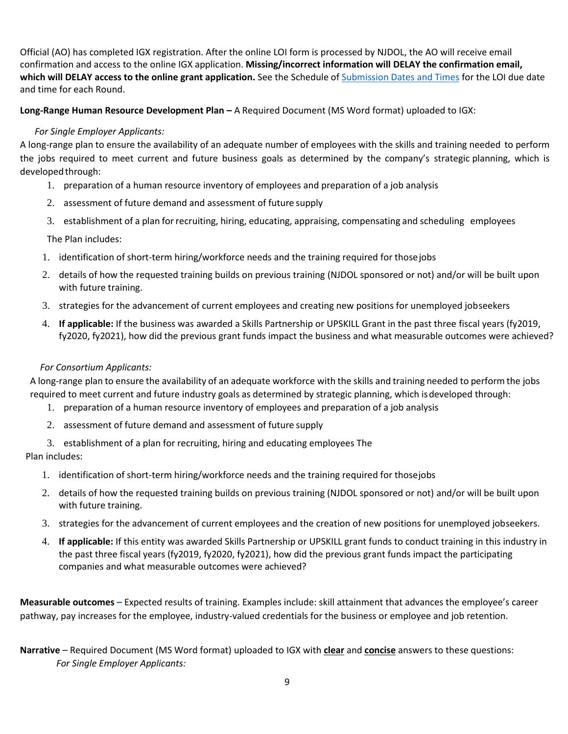Official (AO) has completed IGX registration. After the online LOI form is processed by NJDOL, the AO will receive email confirmation and access to the online IGX application. **Missing/incorrect information will DELAY the confirmation email, which will DELAY access to the online grant application.** See the Schedule o[f Submission Dates and Times](#page-6-1) for the LOI due date and time for each Round.

<span id="page-8-0"></span>**Long-Range Human Resource Development Plan –** A Required Document (MS Word format) uploaded to IGX:

#### *For Single Employer Applicants:*

A long-range plan to ensure the availability of an adequate number of employees with the skills and training needed to perform the jobs required to meet current and future business goals as determined by the company's strategic planning, which is developedthrough:

- 1. preparation of a human resource inventory of employees and preparation of a job analysis
- 2. assessment of future demand and assessment of future supply
- 3. establishment of a plan forrecruiting, hiring, educating, appraising, compensating and scheduling employees

The Plan includes:

- 1. identification of short-term hiring/workforce needs and the training required for thosejobs
- 2. details of how the requested training builds on previous training (NJDOL sponsored or not) and/or will be built upon with future training.
- 3. strategies for the advancement of current employees and creating new positions for unemployed jobseekers
- 4. **If applicable:** If the business was awarded a Skills Partnership or UPSKILL Grant in the past three fiscal years (fy2019, fy2020, fy2021), how did the previous grant funds impact the business and what measurable outcomes were achieved?

#### *For Consortium Applicants:*

A long-range plan to ensure the availability of an adequate workforce with the skills and training needed to perform the jobs required to meet current and future industry goals as determined by strategic planning, which isdeveloped through:

- 1. preparation of a human resource inventory of employees and preparation of a job analysis
- 2. assessment of future demand and assessment of future supply
- 3. establishment of a plan for recruiting, hiring and educating employees The

Plan includes:

- 1. identification of short-term hiring/workforce needs and the training required for thosejobs
- 2. details of how the requested training builds on previous training (NJDOL sponsored or not) and/or will be built upon with future training.
- 3. strategies for the advancement of current employees and the creation of new positions for unemployed jobseekers.
- 4. **If applicable:** If this entity was awarded Skills Partnership or UPSKILL grant funds to conduct training in this industry in the past three fiscal years (fy2019, fy2020, fy2021), how did the previous grant funds impact the participating companies and what measurable outcomes were achieved?

<span id="page-8-1"></span>**Measurable outcomes –** Expected results of training. Examples include: skill attainment that advances the employee's career pathway, pay increases for the employee, industry-valued credentials for the business or employee and job retention.

**Narrative** – Required Document (MS Word format) uploaded to IGX with **clear** and **concise** answers to these questions: *For Single Employer Applicants:*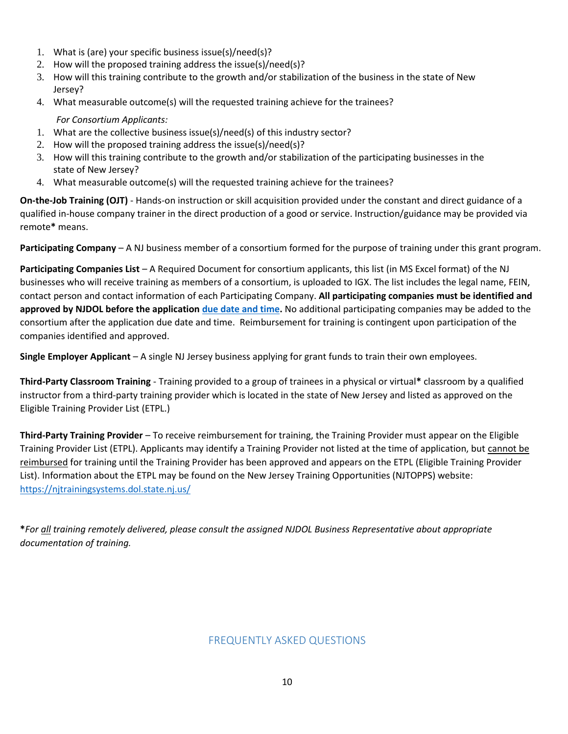- 1. What is (are) your specific business issue(s)/need(s)?
- 2. How will the proposed training address the issue(s)/need(s)?
- 3. How will this training contribute to the growth and/or stabilization of the business in the state of New Jersey?
- 4. What measurable outcome(s) will the requested training achieve for the trainees?

#### *For Consortium Applicants:*

- 1. What are the collective business issue(s)/need(s) of this industry sector?
- 2. How will the proposed training address the issue(s)/need(s)?
- 3. How will this training contribute to the growth and/or stabilization of the participating businesses in the state of New Jersey?
- 4. What measurable outcome(s) will the requested training achieve for the trainees?

<span id="page-9-2"></span>**On-the-Job Training (OJT)** - Hands-on instruction or skill acquisition provided under the constant and direct guidance of a qualified in-house company trainer in the direct production of a good or service. Instruction/guidance may be provided via remote**\*** means.

**Participating Company** – A NJ business member of a consortium formed for the purpose of training under this grant program.

<span id="page-9-4"></span>**Participating Companies List** – A Required Document for consortium applicants, this list (in MS Excel format) of the NJ businesses who will receive training as members of a consortium, is uploaded to IGX. The list includes the legal name, FEIN, contact person and contact information of each Participating Company. **All participating companies must be identified and approved by NJDOL before the application [due date and time.](#page-6-1)** No additional participating companies may be added to the consortium after the application due date and time. Reimbursement for training is contingent upon participation of the companies identified and approved.

<span id="page-9-3"></span><span id="page-9-1"></span>**Single Employer Applicant** – A single NJ Jersey business applying for grant funds to train their own employees.

**Third-Party Classroom Training** - Training provided to a group of trainees in a physical or virtual**\*** classroom by a qualified instructor from a third-party training provider which is located in the state of New Jersey and listed as approved on the [Eligible Training](http://www.njtopps.org/) [Provider List \(ETPL.](http://www.njtopps.org/))

**Third-Party Training Provider** – To receive reimbursement for training, the Training Provider must appear on the Eligible Training Provider List (ETPL). Applicants may identify a Training Provider not listed at the time of application, but cannot be reimbursed for training until the Training Provider has been approved and appears on the ETPL (Eligible Training Provider List). Information about the ETPL may be found on the New Jersey Training Opportunities (NJTOPPS) website: <https://njtrainingsystems.dol.state.nj.us/>

<span id="page-9-0"></span>**\****For all training remotely delivered, please consult the assigned NJDOL Business Representative about appropriate documentation of training.*

# FREQUENTLY ASKED QUESTIONS